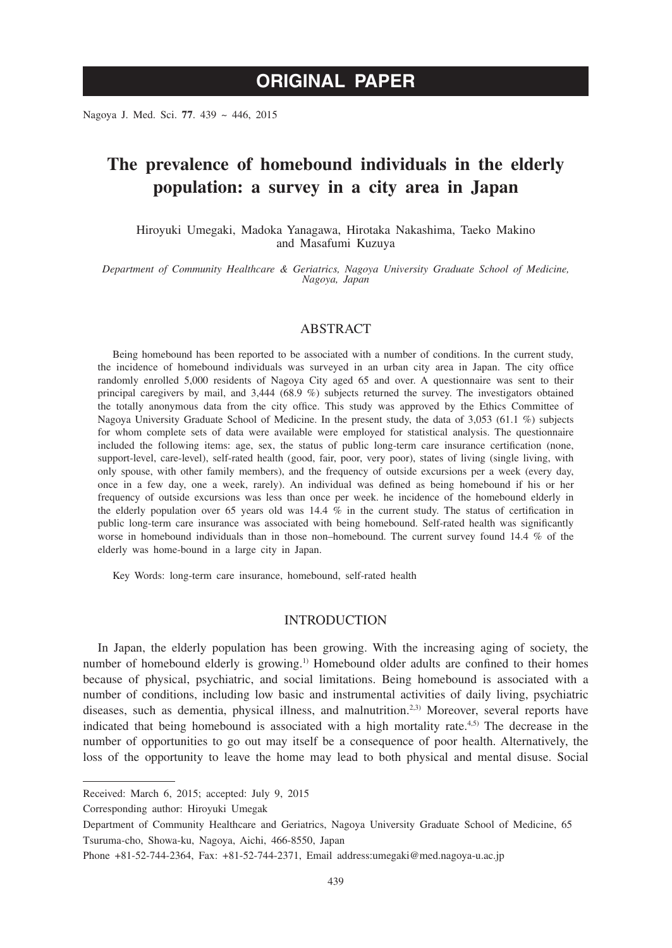# **ORIGINAL PAPER**

Nagoya J. Med. Sci. **77**. 439 ~ 446, 2015

# **The prevalence of homebound individuals in the elderly population: a survey in a city area in Japan**

Hiroyuki Umegaki, Madoka Yanagawa, Hirotaka Nakashima, Taeko Makino and Masafumi Kuzuya

*Department of Community Healthcare & Geriatrics, Nagoya University Graduate School of Medicine, Nagoya, Japan*

#### ABSTRACT

Being homebound has been reported to be associated with a number of conditions. In the current study, the incidence of homebound individuals was surveyed in an urban city area in Japan. The city office randomly enrolled 5,000 residents of Nagoya City aged 65 and over. A questionnaire was sent to their principal caregivers by mail, and 3,444 (68.9 %) subjects returned the survey. The investigators obtained the totally anonymous data from the city office. This study was approved by the Ethics Committee of Nagoya University Graduate School of Medicine. In the present study, the data of 3,053 (61.1 %) subjects for whom complete sets of data were available were employed for statistical analysis. The questionnaire included the following items: age, sex, the status of public long-term care insurance certification (none, support-level, care-level), self-rated health (good, fair, poor, very poor), states of living (single living, with only spouse, with other family members), and the frequency of outside excursions per a week (every day, once in a few day, one a week, rarely). An individual was defined as being homebound if his or her frequency of outside excursions was less than once per week. he incidence of the homebound elderly in the elderly population over 65 years old was 14.4 % in the current study. The status of certification in public long-term care insurance was associated with being homebound. Self-rated health was significantly worse in homebound individuals than in those non–homebound. The current survey found 14.4 % of the elderly was home-bound in a large city in Japan.

Key Words: long-term care insurance, homebound, self-rated health

## INTRODUCTION

In Japan, the elderly population has been growing. With the increasing aging of society, the number of homebound elderly is growing.<sup>1)</sup> Homebound older adults are confined to their homes because of physical, psychiatric, and social limitations. Being homebound is associated with a number of conditions, including low basic and instrumental activities of daily living, psychiatric diseases, such as dementia, physical illness, and malnutrition.<sup>2,3)</sup> Moreover, several reports have indicated that being homebound is associated with a high mortality rate.4,5) The decrease in the number of opportunities to go out may itself be a consequence of poor health. Alternatively, the loss of the opportunity to leave the home may lead to both physical and mental disuse. Social

Corresponding author: Hiroyuki Umegak

Received: March 6, 2015; accepted: July 9, 2015

Department of Community Healthcare and Geriatrics, Nagoya University Graduate School of Medicine, 65 Tsuruma-cho, Showa-ku, Nagoya, Aichi, 466-8550, Japan

Phone +81-52-744-2364, Fax: +81-52-744-2371, Email address:umegaki@med.nagoya-u.ac.jp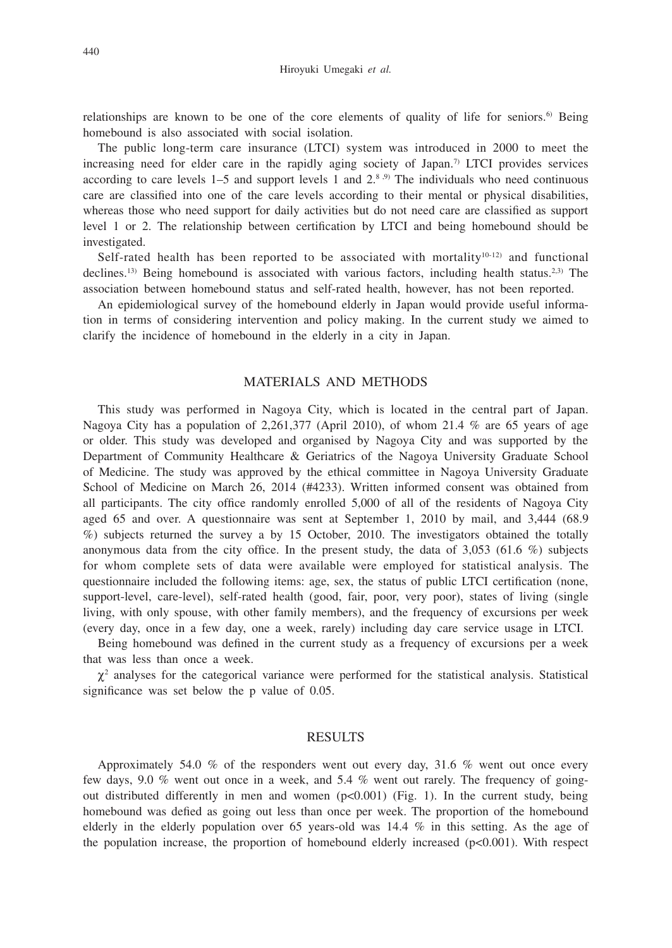relationships are known to be one of the core elements of quality of life for seniors.<sup>6)</sup> Being homebound is also associated with social isolation.

The public long-term care insurance (LTCI) system was introduced in 2000 to meet the increasing need for elder care in the rapidly aging society of Japan.<sup>7)</sup> LTCI provides services according to care levels  $1-5$  and support levels 1 and  $2^{8.9}$ . The individuals who need continuous care are classified into one of the care levels according to their mental or physical disabilities, whereas those who need support for daily activities but do not need care are classified as support level 1 or 2. The relationship between certification by LTCI and being homebound should be investigated.

Self-rated health has been reported to be associated with mortality $10^{-12}$  and functional declines.<sup>13)</sup> Being homebound is associated with various factors, including health status.<sup>2,3)</sup> The association between homebound status and self-rated health, however, has not been reported.

An epidemiological survey of the homebound elderly in Japan would provide useful information in terms of considering intervention and policy making. In the current study we aimed to clarify the incidence of homebound in the elderly in a city in Japan.

## MATERIALS AND METHODS

This study was performed in Nagoya City, which is located in the central part of Japan. Nagoya City has a population of 2,261,377 (April 2010), of whom 21.4 % are 65 years of age or older. This study was developed and organised by Nagoya City and was supported by the Department of Community Healthcare & Geriatrics of the Nagoya University Graduate School of Medicine. The study was approved by the ethical committee in Nagoya University Graduate School of Medicine on March 26, 2014 (#4233). Written informed consent was obtained from all participants. The city office randomly enrolled 5,000 of all of the residents of Nagoya City aged 65 and over. A questionnaire was sent at September 1, 2010 by mail, and 3,444 (68.9 %) subjects returned the survey a by 15 October, 2010. The investigators obtained the totally anonymous data from the city office. In the present study, the data of  $3,053$  (61.6 %) subjects for whom complete sets of data were available were employed for statistical analysis. The questionnaire included the following items: age, sex, the status of public LTCI certification (none, support-level, care-level), self-rated health (good, fair, poor, very poor), states of living (single living, with only spouse, with other family members), and the frequency of excursions per week (every day, once in a few day, one a week, rarely) including day care service usage in LTCI.

Being homebound was defined in the current study as a frequency of excursions per a week that was less than once a week.

 $\chi^2$  analyses for the categorical variance were performed for the statistical analysis. Statistical significance was set below the p value of 0.05.

#### RESULTS

Approximately 54.0 % of the responders went out every day, 31.6 % went out once every few days, 9.0 % went out once in a week, and 5.4 % went out rarely. The frequency of goingout distributed differently in men and women  $(p<0.001)$  (Fig. 1). In the current study, being homebound was defied as going out less than once per week. The proportion of the homebound elderly in the elderly population over 65 years-old was 14.4 % in this setting. As the age of the population increase, the proportion of homebound elderly increased  $(p<0.001)$ . With respect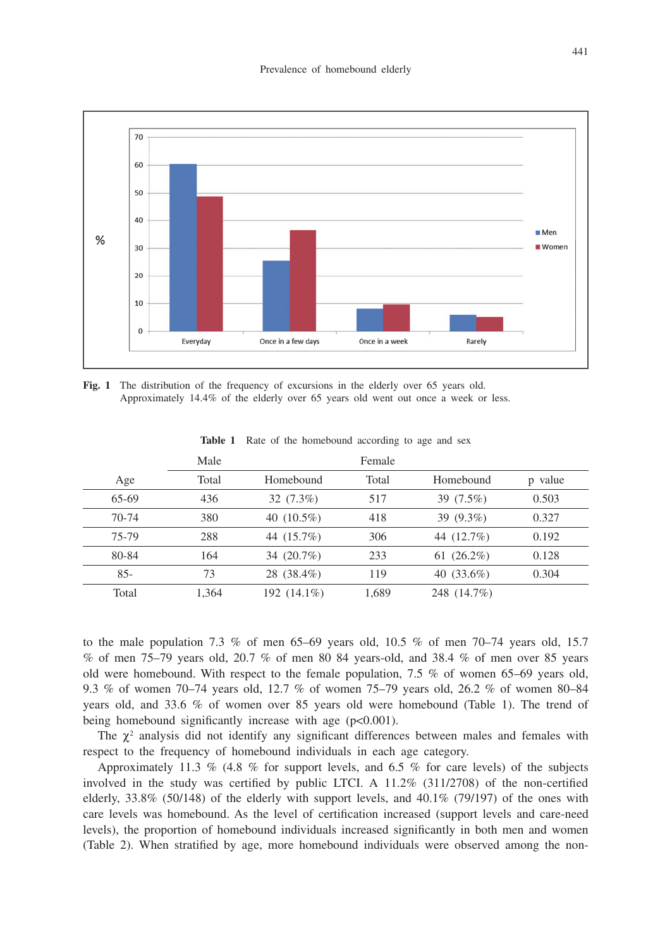

Fig. 1 The distribution of the frequency of excursions in the elderly over 65 years old. Approximately 14.4% of the elderly over 65 years old went out once a week or less.

|        | Male  |               |       |               |         |  |
|--------|-------|---------------|-------|---------------|---------|--|
| Age    | Total | Homebound     | Total | Homebound     | p value |  |
| 65-69  | 436   | $32(7.3\%)$   | 517   | 39 (7.5%)     | 0.503   |  |
| 70-74  | 380   | 40 $(10.5\%)$ | 418   | 39 (9.3%)     | 0.327   |  |
| 75-79  | 288   | 44 (15.7%)    | 306   | 44 (12.7%)    | 0.192   |  |
| 80-84  | 164   | 34 (20.7%)    | 233   | 61 $(26.2\%)$ | 0.128   |  |
| $85 -$ | 73    | 28 (38.4%)    | 119   | 40 $(33.6\%)$ | 0.304   |  |
| Total  | 1.364 | 192 (14.1%)   | 1,689 | 248 (14.7%)   |         |  |

**Table 1** Rate of the homebound according to age and sex

to the male population 7.3 % of men  $65-69$  years old,  $10.5$  % of men  $70-74$  years old, 15.7 % of men 75–79 years old, 20.7 % of men 80 84 years-old, and 38.4 % of men over 85 years old were homebound. With respect to the female population, 7.5 % of women 65–69 years old, 9.3 % of women 70–74 years old, 12.7 % of women 75–79 years old, 26.2 % of women 80–84 years old, and 33.6 % of women over 85 years old were homebound (Table 1). The trend of being homebound significantly increase with age (p<0.001).

The  $\chi^2$  analysis did not identify any significant differences between males and females with respect to the frequency of homebound individuals in each age category.

Approximately 11.3 % (4.8 % for support levels, and 6.5 % for care levels) of the subjects involved in the study was certified by public LTCI. A 11.2% (311/2708) of the non-certified elderly,  $33.8\%$  (50/148) of the elderly with support levels, and  $40.1\%$  (79/197) of the ones with care levels was homebound. As the level of certification increased (support levels and care-need levels), the proportion of homebound individuals increased significantly in both men and women (Table 2). When stratified by age, more homebound individuals were observed among the non-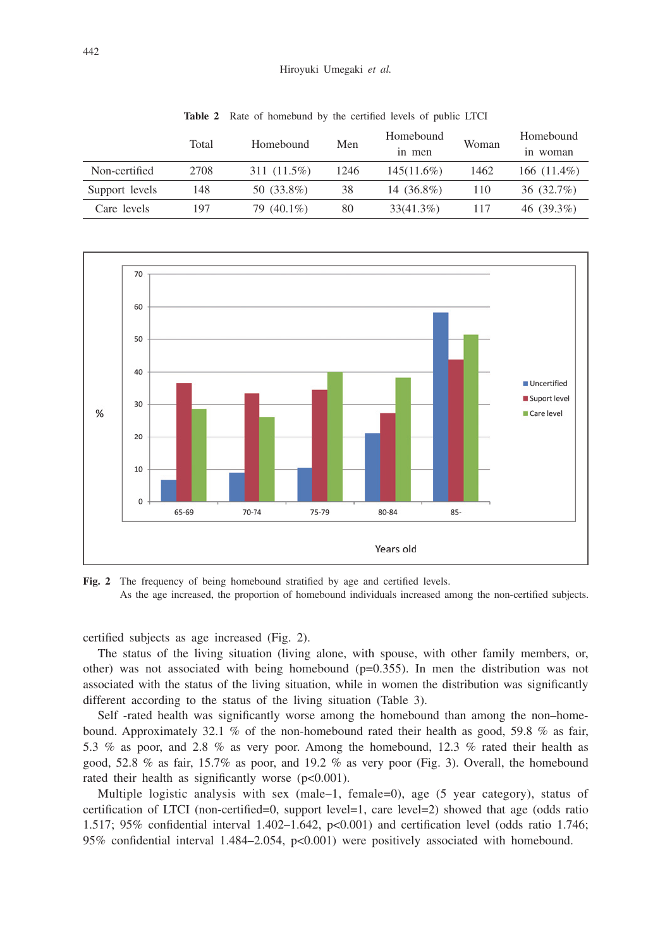|                | Total | Homebound   | Men  | Homebound<br>in men | Woman | Homebound<br>in woman |
|----------------|-------|-------------|------|---------------------|-------|-----------------------|
| Non-certified  | 2708  | 311 (11.5%) | 1246 | $145(11.6\%)$       | 1462  | 166 $(11.4\%)$        |
| Support levels | 148   | 50 (33.8%)  | 38   | 14 (36.8%)          | 110   | 36 (32.7%)            |
| Care levels    | 197   | 79 (40.1%)  | 80   | $33(41.3\%)$        | 117   | 46 $(39.3\%)$         |

**Table 2** Rate of homebund by the certified levels of public LTCI



Fig. 2 The frequency of being homebound stratified by age and certified levels. As the age increased, the proportion of homebound individuals increased among the non-certified subjects.

certified subjects as age increased (Fig. 2).

The status of the living situation (living alone, with spouse, with other family members, or, other) was not associated with being homebound  $(p=0.355)$ . In men the distribution was not associated with the status of the living situation, while in women the distribution was significantly different according to the status of the living situation (Table 3).

Self -rated health was significantly worse among the homebound than among the non–homebound. Approximately 32.1 % of the non-homebound rated their health as good, 59.8 % as fair, 5.3 % as poor, and 2.8 % as very poor. Among the homebound, 12.3 % rated their health as good, 52.8 % as fair, 15.7% as poor, and 19.2 % as very poor (Fig. 3). Overall, the homebound rated their health as significantly worse (p<0.001).

Multiple logistic analysis with sex (male–1, female=0), age (5 year category), status of certification of LTCI (non-certified=0, support level=1, care level=2) showed that age (odds ratio 1.517; 95% confidential interval 1.402–1.642, p<0.001) and certification level (odds ratio 1.746; 95% confidential interval 1.484–2.054, p<0.001) were positively associated with homebound.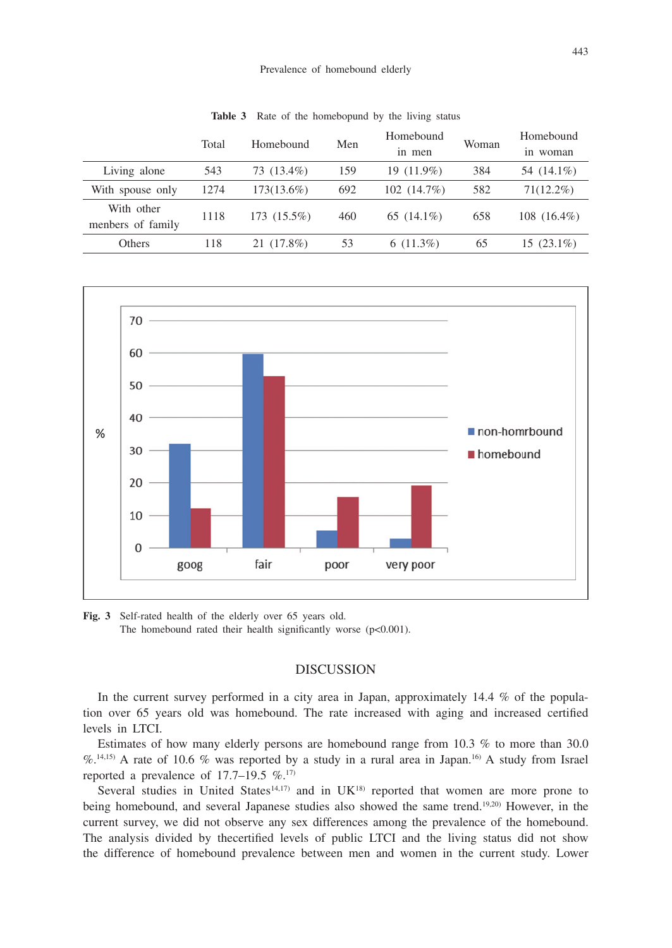|                                 | Total | Homebound     | Men | Homebound<br>in men | Woman | Homebound<br>woman<br>1n. |
|---------------------------------|-------|---------------|-----|---------------------|-------|---------------------------|
| Living alone                    | 543   | 73 (13.4%)    | 159 | 19 (11.9%)          | 384   | 54 (14.1%)                |
| With spouse only                | 1274  | $173(13.6\%)$ | 692 | 102(14.7%)          | 582   | $71(12.2\%)$              |
| With other<br>menbers of family | 1118  | 173 (15.5%)   | 460 | 65 $(14.1\%)$       | 658   | $108(16.4\%)$             |
| Others                          | 118   | 21 (17.8%)    | 53  | $6(11.3\%)$         | 65    | $15(23.1\%)$              |

**Table 3** Rate of the homebopund by the living status



**Fig. 3** Self-rated health of the elderly over 65 years old. The homebound rated their health significantly worse  $(p<0.001)$ .

## **DISCUSSION**

In the current survey performed in a city area in Japan, approximately 14.4 % of the population over 65 years old was homebound. The rate increased with aging and increased certified levels in LTCI.

Estimates of how many elderly persons are homebound range from 10.3 % to more than 30.0 %.14,15) A rate of 10.6 % was reported by a study in a rural area in Japan.16) A study from Israel reported a prevalence of 17.7–19.5  $\%$ .<sup>17)</sup>

Several studies in United States<sup>14,17)</sup> and in  $UK^{18}$  reported that women are more prone to being homebound, and several Japanese studies also showed the same trend.19,20) However, in the current survey, we did not observe any sex differences among the prevalence of the homebound. The analysis divided by thecertified levels of public LTCI and the living status did not show the difference of homebound prevalence between men and women in the current study. Lower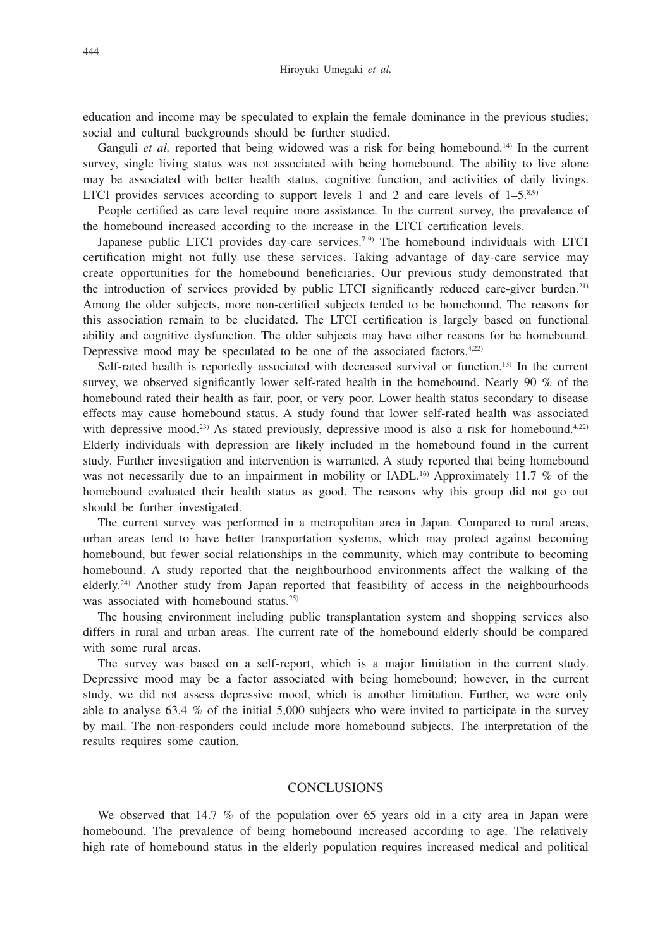education and income may be speculated to explain the female dominance in the previous studies; social and cultural backgrounds should be further studied.

Ganguli *et al.* reported that being widowed was a risk for being homebound.<sup>14)</sup> In the current survey, single living status was not associated with being homebound. The ability to live alone may be associated with better health status, cognitive function, and activities of daily livings. LTCI provides services according to support levels 1 and 2 and care levels of  $1-5$ .<sup>8,9)</sup>

People certified as care level require more assistance. In the current survey, the prevalence of the homebound increased according to the increase in the LTCI certification levels.

Japanese public LTCI provides day-care services.<sup>7-9)</sup> The homebound individuals with LTCI certification might not fully use these services. Taking advantage of day-care service may create opportunities for the homebound beneficiaries. Our previous study demonstrated that the introduction of services provided by public LTCI significantly reduced care-giver burden.<sup>21)</sup> Among the older subjects, more non-certified subjects tended to be homebound. The reasons for this association remain to be elucidated. The LTCI certification is largely based on functional ability and cognitive dysfunction. The older subjects may have other reasons for be homebound. Depressive mood may be speculated to be one of the associated factors.<sup>4,22)</sup>

Self-rated health is reportedly associated with decreased survival or function.<sup>13)</sup> In the current survey, we observed significantly lower self-rated health in the homebound. Nearly 90 % of the homebound rated their health as fair, poor, or very poor. Lower health status secondary to disease effects may cause homebound status. A study found that lower self-rated health was associated with depressive mood.<sup>23)</sup> As stated previously, depressive mood is also a risk for homebound.<sup>4,22)</sup> Elderly individuals with depression are likely included in the homebound found in the current study. Further investigation and intervention is warranted. A study reported that being homebound was not necessarily due to an impairment in mobility or IADL.<sup>16)</sup> Approximately 11.7 % of the homebound evaluated their health status as good. The reasons why this group did not go out should be further investigated.

The current survey was performed in a metropolitan area in Japan. Compared to rural areas, urban areas tend to have better transportation systems, which may protect against becoming homebound, but fewer social relationships in the community, which may contribute to becoming homebound. A study reported that the neighbourhood environments affect the walking of the elderly.24) Another study from Japan reported that feasibility of access in the neighbourhoods was associated with homebound status.<sup>25)</sup>

The housing environment including public transplantation system and shopping services also differs in rural and urban areas. The current rate of the homebound elderly should be compared with some rural areas.

The survey was based on a self-report, which is a major limitation in the current study. Depressive mood may be a factor associated with being homebound; however, in the current study, we did not assess depressive mood, which is another limitation. Further, we were only able to analyse 63.4 % of the initial 5,000 subjects who were invited to participate in the survey by mail. The non-responders could include more homebound subjects. The interpretation of the results requires some caution.

### CONCLUSIONS

We observed that 14.7 % of the population over 65 years old in a city area in Japan were homebound. The prevalence of being homebound increased according to age. The relatively high rate of homebound status in the elderly population requires increased medical and political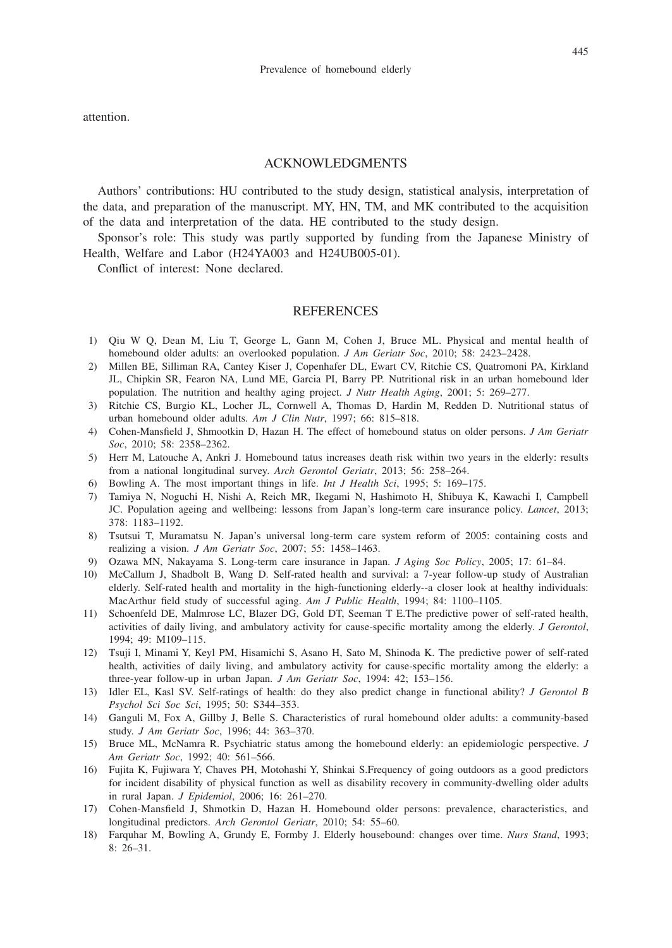attention.

#### ACKNOWLEDGMENTS

Authors' contributions: HU contributed to the study design, statistical analysis, interpretation of the data, and preparation of the manuscript. MY, HN, TM, and MK contributed to the acquisition of the data and interpretation of the data. HE contributed to the study design.

Sponsor's role: This study was partly supported by funding from the Japanese Ministry of Health, Welfare and Labor (H24YA003 and H24UB005-01).

Conflict of interest: None declared.

## **REFERENCES**

- 1) Qiu W Q, Dean M, Liu T, George L, Gann M, Cohen J, Bruce ML. Physical and mental health of homebound older adults: an overlooked population. *J Am Geriatr Soc*, 2010; 58: 2423–2428.
- 2) Millen BE, Silliman RA, Cantey Kiser J, Copenhafer DL, Ewart CV, Ritchie CS, Quatromoni PA, Kirkland JL, Chipkin SR, Fearon NA, Lund ME, Garcia PI, Barry PP. Nutritional risk in an urban homebound lder population. The nutrition and healthy aging project. *J Nutr Health Aging*, 2001; 5: 269–277.
- 3) Ritchie CS, Burgio KL, Locher JL, Cornwell A, Thomas D, Hardin M, Redden D. Nutritional status of urban homebound older adults. *Am J Clin Nutr*, 1997; 66: 815–818.
- 4) Cohen-Mansfield J, Shmootkin D, Hazan H. The effect of homebound status on older persons. *J Am Geriatr Soc*, 2010; 58: 2358–2362.
- 5) Herr M, Latouche A, Ankri J. Homebound tatus increases death risk within two years in the elderly: results from a national longitudinal survey. *Arch Gerontol Geriatr*, 2013; 56: 258–264.
- 6) Bowling A. The most important things in life. *Int J Health Sci*, 1995; 5: 169–175.
- 7) Tamiya N, Noguchi H, Nishi A, Reich MR, Ikegami N, Hashimoto H, Shibuya K, Kawachi I, Campbell JC. Population ageing and wellbeing: lessons from Japan's long-term care insurance policy. *Lancet*, 2013; 378: 1183–1192.
- 8) Tsutsui T, Muramatsu N. Japan's universal long-term care system reform of 2005: containing costs and realizing a vision. *J Am Geriatr Soc*, 2007; 55: 1458–1463.
- 9) Ozawa MN, Nakayama S. Long-term care insurance in Japan. *J Aging Soc Policy*, 2005; 17: 61–84.
- 10) McCallum J, Shadbolt B, Wang D. Self-rated health and survival: a 7-year follow-up study of Australian elderly. Self-rated health and mortality in the high-functioning elderly--a closer look at healthy individuals: MacArthur field study of successful aging. *Am J Public Health*, 1994; 84: 1100–1105.
- 11) Schoenfeld DE, Malmrose LC, Blazer DG, Gold DT, Seeman T E.The predictive power of self-rated health, activities of daily living, and ambulatory activity for cause-specific mortality among the elderly. *J Gerontol*, 1994; 49: M109–115.
- 12) Tsuji I, Minami Y, Keyl PM, Hisamichi S, Asano H, Sato M, Shinoda K. The predictive power of self-rated health, activities of daily living, and ambulatory activity for cause-specific mortality among the elderly: a three-year follow-up in urban Japan. *J Am Geriatr Soc*, 1994: 42; 153–156.
- 13) Idler EL, Kasl SV. Self-ratings of health: do they also predict change in functional ability? *J Gerontol B Psychol Sci Soc Sci*, 1995; 50: S344–353.
- 14) Ganguli M, Fox A, Gillby J, Belle S. Characteristics of rural homebound older adults: a community-based study. *J Am Geriatr Soc*, 1996; 44: 363–370.
- 15) Bruce ML, McNamra R. Psychiatric status among the homebound elderly: an epidemiologic perspective. *J Am Geriatr Soc*, 1992; 40: 561–566.
- 16) Fujita K, Fujiwara Y, Chaves PH, Motohashi Y, Shinkai S.Frequency of going outdoors as a good predictors for incident disability of physical function as well as disability recovery in community-dwelling older adults in rural Japan. *J Epidemiol*, 2006; 16: 261–270.
- 17) Cohen-Mansfield J, Shmotkin D, Hazan H. Homebound older persons: prevalence, characteristics, and longitudinal predictors. *Arch Gerontol Geriatr*, 2010; 54: 55–60.
- 18) Farquhar M, Bowling A, Grundy E, Formby J. Elderly housebound: changes over time. *Nurs Stand*, 1993; 8: 26–31.